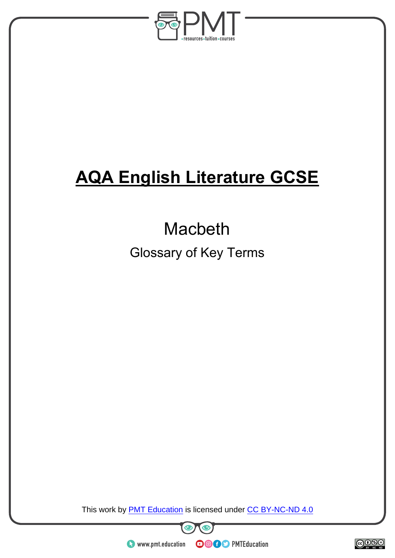

# **AQA English Literature GCSE**

## Macbeth

Glossary of Key Terms

This work by **PMT Education** is licensed under CC BY-NC-ND 4.0

 $\bm{\bm{\circ}}$ 

**OOOO** PMTEducation

 $\bullet$ 



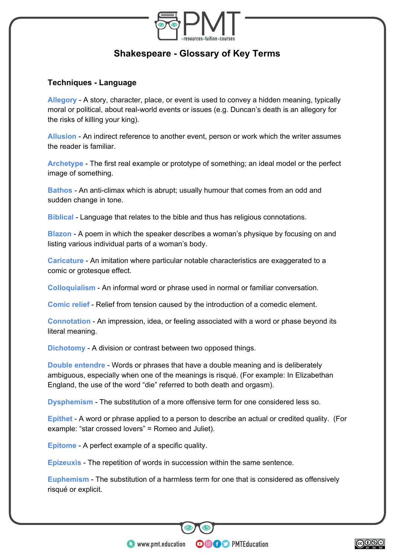

### **Shakespeare - Glossary of Key Terms**

#### **Techniques - Language**

**Allegory** - A story, character, place, or event is used to convey a hidden meaning, typically moral or political, about real-world events or issues (e.g. Duncan's death is an allegory for the risks of killing your king).

**Allusion** - An indirect reference to another event, person or work which the writer assumes the reader is familiar.

**Archetype** - The first real example or prototype of something; an ideal model or the perfect image of something.

**Bathos** - An anti-climax which is abrupt; usually humour that comes from an odd and sudden change in tone.

**Biblical** - Language that relates to the bible and thus has religious connotations.

**Blazon** - A poem in which the speaker describes a woman's physique by focusing on and listing various individual parts of a woman's body.

**Caricature** - An imitation where particular notable characteristics are exaggerated to a comic or grotesque effect.

**Colloquialism** - An informal word or phrase used in normal or familiar conversation.

**Comic relief** - Relief from tension caused by the introduction of a comedic element.

**Connotation** - An impression, idea, or feeling associated with a word or phase beyond its literal meaning.

**Dichotomy** - A division or contrast between two opposed things.

**Double entendre** - Words or phrases that have a double meaning and is deliberately ambiguous, especially when one of the meanings is risqué. (For example: In Elizabethan England, the use of the word "die" referred to both death and orgasm).

**Dysphemism** - The substitution of a more offensive term for one considered less so.

**Epithet** - A word or phrase applied to a person to describe an actual or credited quality. (For example: "star crossed lovers" = Romeo and Juliet).

**Epitome** - A perfect example of a specific quality.

**Epizeuxis** - The repetition of words in succession within the same sentence.

**Euphemism** - The substitution of a harmless term for one that is considered as offensively risqué or explicit.

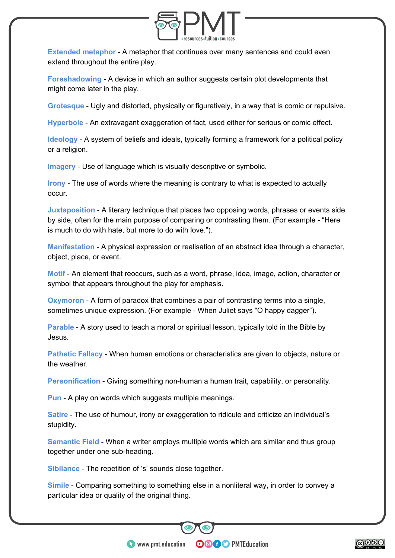

**Extended metaphor** - A metaphor that continues over many sentences and could even extend throughout the entire play.

**Foreshadowing** - A device in which an author suggests certain plot developments that might come later in the play.

**Grotesque** - Ugly and distorted, physically or figuratively, in a way that is comic or repulsive.

**Hyperbole** - An extravagant exaggeration of fact, used either for serious or comic effect.

**Ideology** - A system of beliefs and ideals, typically forming a framework for a political policy or a religion.

**Imagery** - Use of language which is visually descriptive or symbolic.

**Irony** - The use of words where the meaning is contrary to what is expected to actually occur.

**Juxtaposition** - A literary technique that places two opposing words, phrases or events side by side, often for the main purpose of comparing or contrasting them. (For example - "Here is much to do with hate, but more to do with love.").

**Manifestation** - A physical expression or realisation of an abstract idea through a character, object, place, or event.

**Motif** - An element that reoccurs, such as a word, phrase, idea, image, action, character or symbol that appears throughout the play for emphasis.

**Oxymoron** - A form of paradox that combines a pair of contrasting terms into a single, sometimes unique expression. (For example - When Juliet says "O happy dagger").

**Parable** - A story used to teach a moral or spiritual lesson, typically told in the Bible by Jesus.

**Pathetic Fallacy** - When human emotions or characteristics are given to objects, nature or the weather.

**Personification** - Giving something non-human a human trait, capability, or personality.

**Pun** - A play on words which suggests multiple meanings.

**Satire** - The use of humour, irony or exaggeration to ridicule and criticize an individual's stupidity.

**Semantic Field** - When a writer employs multiple words which are similar and thus group together under one sub-heading.

**Sibilance** - The repetition of 's' sounds close together.

**Simile** - Comparing something to something else in a nonliteral way, in order to convey a particular idea or quality of the original thing.

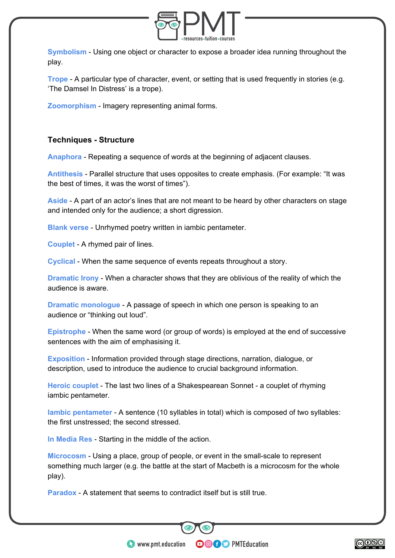

**Symbolism** - Using one object or character to expose a broader idea running throughout the play.

**Trope** - A particular type of character, event, or setting that is used frequently in stories (e.g. 'The Damsel In Distress' is a trope).

**Zoomorphism** - Imagery representing animal forms.

#### **Techniques - Structure**

**Anaphora** - Repeating a sequence of words at the beginning of adjacent clauses.

**Antithesis** - Parallel structure that uses opposites to create emphasis. (For example: "It was the best of times, it was the worst of times").

**Aside** - A part of an actor's lines that are not meant to be heard by other characters on stage and intended only for the audience; a short digression.

**Blank verse** - Unrhymed poetry written in iambic pentameter.

**Couplet** - A rhymed pair of lines.

**Cyclical** - When the same sequence of events repeats throughout a story.

**Dramatic Irony** - When a character shows that they are oblivious of the reality of which the audience is aware.

**Dramatic monologue** - A passage of speech in which one person is speaking to an audience or "thinking out loud".

**Epistrophe** - When the same word (or group of words) is employed at the end of successive sentences with the aim of emphasising it.

**Exposition** - Information provided through stage directions, narration, dialogue, or description, used to introduce the audience to crucial background information.

**Heroic couplet** - The last two lines of a Shakespearean Sonnet - a couplet of rhyming iambic pentameter.

**Iambic pentameter** - A sentence (10 syllables in total) which is composed of two syllables: the first unstressed; the second stressed.

**In Media Res** - Starting in the middle of the action.

**Microcosm** - Using a place, group of people, or event in the small-scale to represent something much larger (e.g. the battle at the start of Macbeth is a microcosm for the whole play).

**OOOO** PMTEducation

**Paradox** - A statement that seems to contradict itself but is still true.

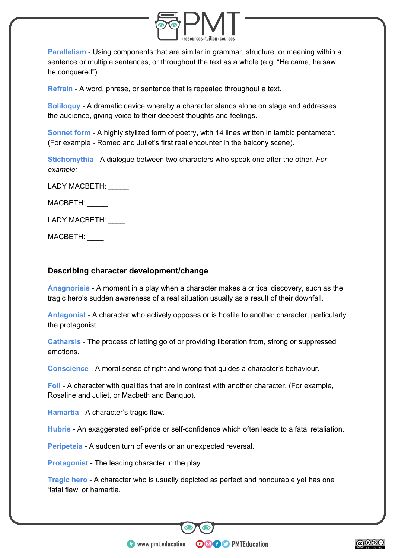

**Parallelism** - Using components that are similar in grammar, structure, or meaning within a sentence or multiple sentences, or throughout the text as a whole (e.g. "He came, he saw, he conquered").

**Refrain** - A word, phrase, or sentence that is repeated throughout a text.

**Soliloquy** - A dramatic device whereby a character stands alone on stage and addresses the audience, giving voice to their deepest thoughts and feelings.

**Sonnet form** - A highly stylized form of poetry, with 14 lines written in iambic pentameter. (For example - Romeo and Juliet's first real encounter in the balcony scene).

**Stichomythia** - A dialogue between two characters who speak one after the other. *For example:* 

LADY MACBETH: \_\_\_\_\_

MACBETH: \_\_\_\_\_

LADY MACBETH:

MACBETH: \_\_\_\_

#### **Describing character development/change**

**Anagnorisis** - A moment in a play when a character makes a critical discovery, such as the tragic hero's sudden awareness of a real situation usually as a result of their downfall.

**Antagonist** - A character who actively opposes or is hostile to another character, particularly the protagonist.

**Catharsis** - The process of letting go of or providing liberation from, strong or suppressed emotions.

**Conscience** - A moral sense of right and wrong that guides a character's behaviour.

**Foil** - A character with qualities that are in contrast with another character. (For example, Rosaline and Juliet, or Macbeth and Banquo).

**Hamartia** - A character's tragic flaw.

**Hubris** - An exaggerated self-pride or self-confidence which often leads to a fatal retaliation.

**Peripeteia** - A sudden turn of events or an unexpected reversal.

**Protagonist** - The leading character in the play.

**Tragic hero** - A character who is usually depicted as perfect and honourable yet has one 'fatal flaw' or hamartia.

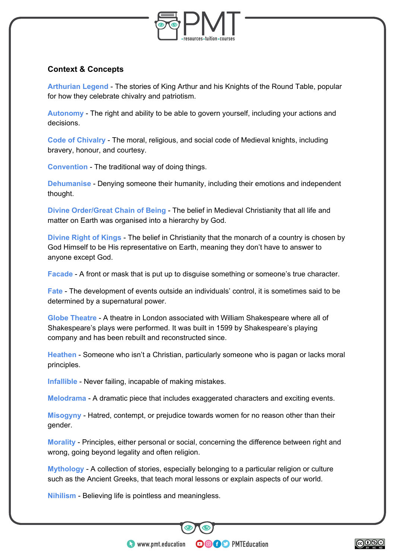

#### **Context & Concepts**

**Arthurian Legend** - The stories of King Arthur and his Knights of the Round Table, popular for how they celebrate chivalry and patriotism.

**Autonomy** - The right and ability to be able to govern yourself, including your actions and decisions.

**Code of Chivalry** - The moral, religious, and social code of Medieval knights, including bravery, honour, and courtesy.

**Convention** - The traditional way of doing things.

**Dehumanise** - Denying someone their humanity, including their emotions and independent thought.

**Divine Order/Great Chain of Being** - The belief in Medieval Christianity that all life and matter on Earth was organised into a hierarchy by God.

**Divine Right of Kings** - The belief in Christianity that the monarch of a country is chosen by God Himself to be His representative on Earth, meaning they don't have to answer to anyone except God.

**Facade** - A front or mask that is put up to disguise something or someone's true character.

**Fate** - The development of events outside an individuals' control, it is sometimes said to be determined by a supernatural power.

**Globe Theatre** - A theatre in London associated with William Shakespeare where all of Shakespeare's plays were performed. It was built in 1599 by Shakespeare's playing company and has been rebuilt and reconstructed since.

**Heathen** - Someone who isn't a Christian, particularly someone who is pagan or lacks moral principles.

**Infallible** - Never failing, incapable of making mistakes.

**Melodrama** - A dramatic piece that includes exaggerated characters and exciting events.

**Misogyny** - Hatred, contempt, or prejudice towards women for no reason other than their gender.

**Morality** - Principles, either personal or social, concerning the difference between right and wrong, going beyond legality and often religion.

**Mythology** - A collection of stories, especially belonging to a particular religion or culture such as the Ancient Greeks, that teach moral lessons or explain aspects of our world.

**OOOO** PMTEducation

**Nihilism** - Believing life is pointless and meaningless.